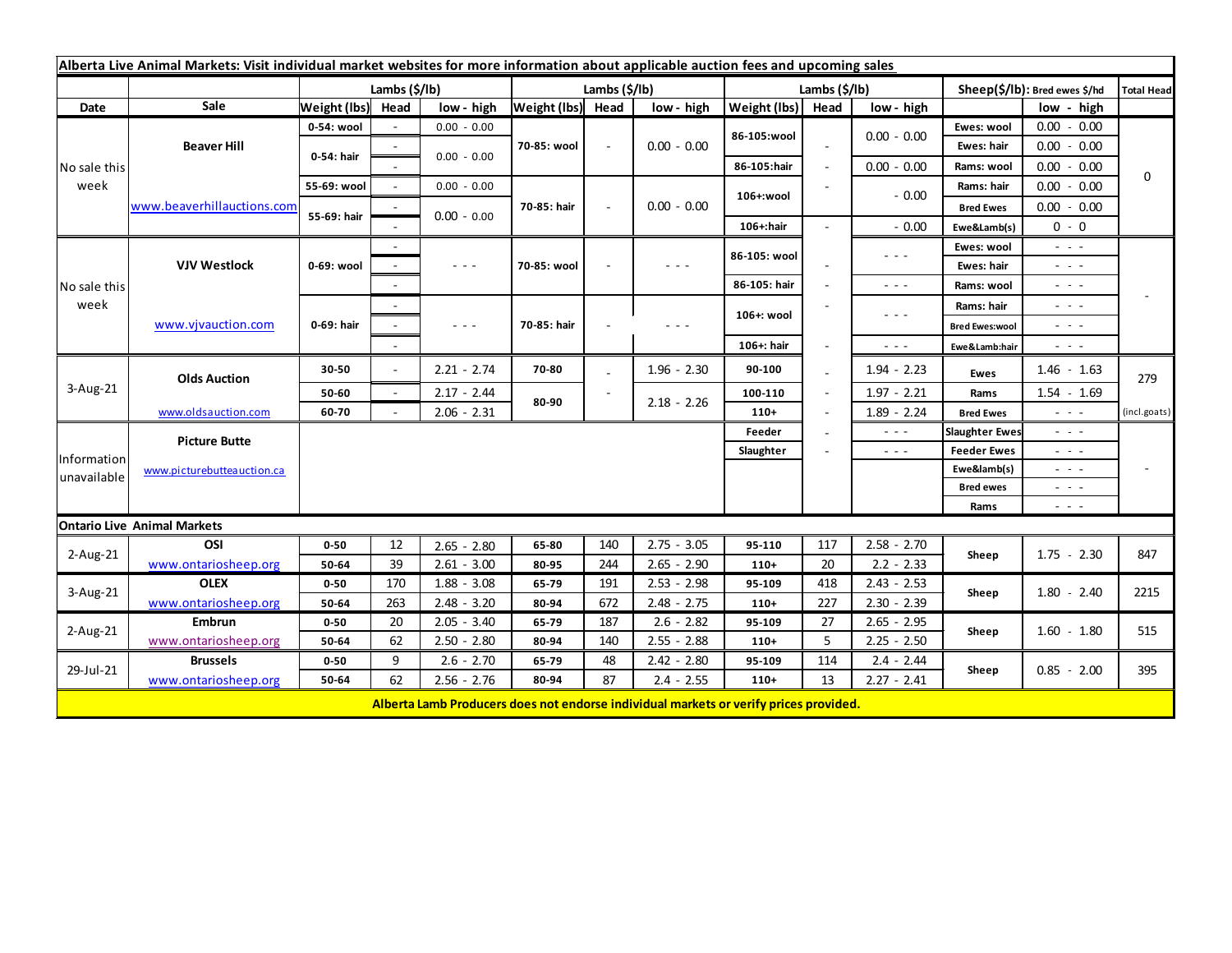| Alberta Live Animal Markets: Visit individual market websites for more information about applicable auction fees and upcoming sales |                            |                       |        |                                                                                                                                                                                                                                                                                                                                                                                                                                                |                       |        |               |                       |                          |                                                                                                                        |                                             |                                                                                                                           |                   |
|-------------------------------------------------------------------------------------------------------------------------------------|----------------------------|-----------------------|--------|------------------------------------------------------------------------------------------------------------------------------------------------------------------------------------------------------------------------------------------------------------------------------------------------------------------------------------------------------------------------------------------------------------------------------------------------|-----------------------|--------|---------------|-----------------------|--------------------------|------------------------------------------------------------------------------------------------------------------------|---------------------------------------------|---------------------------------------------------------------------------------------------------------------------------|-------------------|
|                                                                                                                                     |                            | Lambs $(\frac{2}{3})$ |        |                                                                                                                                                                                                                                                                                                                                                                                                                                                | Lambs $(\frac{2}{3})$ |        |               | Lambs $(\frac{2}{3})$ |                          |                                                                                                                        | Sheep(\$/lb): Bred ewes \$/hd               |                                                                                                                           | <b>Total Head</b> |
| Date                                                                                                                                | Sale                       | Weight (lbs) Head     |        | low - high                                                                                                                                                                                                                                                                                                                                                                                                                                     | Weight (lbs) Head     |        | low - high    | Weight (lbs)          | Head                     | low - high                                                                                                             |                                             | low - high                                                                                                                |                   |
| No sale this<br>week                                                                                                                | <b>Beaver Hill</b>         | 0-54: wool            |        | $0.00 - 0.00$                                                                                                                                                                                                                                                                                                                                                                                                                                  |                       |        | $0.00 - 0.00$ | 86-105:wool           |                          |                                                                                                                        | Ewes: wool                                  | $0.00 - 0.00$                                                                                                             | 0                 |
|                                                                                                                                     |                            | 0-54: hair            |        |                                                                                                                                                                                                                                                                                                                                                                                                                                                | 70-85: wool           |        |               |                       |                          | $0.00 - 0.00$                                                                                                          | Ewes: hair                                  | $0.00 - 0.00$                                                                                                             |                   |
|                                                                                                                                     |                            |                       |        | $0.00 - 0.00$                                                                                                                                                                                                                                                                                                                                                                                                                                  |                       |        |               | 86-105:hair           | $\overline{\phantom{a}}$ | $0.00 - 0.00$                                                                                                          | Rams: wool                                  | $0.00 - 0.00$                                                                                                             |                   |
|                                                                                                                                     | www.beaverhillauctions.com | 55-69: wool           | $\sim$ | $0.00 - 0.00$                                                                                                                                                                                                                                                                                                                                                                                                                                  | 70-85: hair           | $\sim$ | $0.00 - 0.00$ | 106+:wool             |                          | $-0.00$                                                                                                                | Rams: hair                                  | 0.00<br>$-0.00$                                                                                                           |                   |
|                                                                                                                                     |                            | 55-69: hair           |        |                                                                                                                                                                                                                                                                                                                                                                                                                                                |                       |        |               |                       |                          |                                                                                                                        | <b>Bred Ewes</b>                            | $0.00 - 0.00$                                                                                                             |                   |
|                                                                                                                                     |                            |                       |        | $0.00 - 0.00$                                                                                                                                                                                                                                                                                                                                                                                                                                  |                       |        |               | 106+:hair             |                          | $-0.00$                                                                                                                | Ewe&Lamb(s)                                 | $0 - 0$                                                                                                                   |                   |
| No sale this<br>week                                                                                                                | <b>VJV Westlock</b>        | 0-69: wool            |        |                                                                                                                                                                                                                                                                                                                                                                                                                                                | 70-85: wool           |        |               | 86-105: wool          |                          | $\frac{1}{2} \left( \frac{1}{2} \right) \frac{1}{2} \left( \frac{1}{2} \right) \frac{1}{2} \left( \frac{1}{2} \right)$ | Ewes: wool                                  | - - -                                                                                                                     |                   |
|                                                                                                                                     |                            |                       |        | $\frac{1}{2} \left( \frac{1}{2} \right) \frac{1}{2} \left( \frac{1}{2} \right) \frac{1}{2} \left( \frac{1}{2} \right)$                                                                                                                                                                                                                                                                                                                         |                       |        |               |                       |                          |                                                                                                                        | <b>Ewes: hair</b>                           | - - -                                                                                                                     |                   |
|                                                                                                                                     |                            |                       |        |                                                                                                                                                                                                                                                                                                                                                                                                                                                |                       |        |               | 86-105: hair          |                          | $\frac{1}{2} \left( \frac{1}{2} \right) \frac{1}{2} \left( \frac{1}{2} \right) \frac{1}{2} \left( \frac{1}{2} \right)$ | Rams: wool                                  | $\sim$ $  -$                                                                                                              |                   |
|                                                                                                                                     | www.vjvauction.com         | 0-69: hair            | $\sim$ |                                                                                                                                                                                                                                                                                                                                                                                                                                                | 70-85: hair           |        | $  -$         | 106+: wool            |                          | $  -$                                                                                                                  | Rams: hair                                  | $\omega_{\rm{eff}}$ and $\omega_{\rm{eff}}$                                                                               |                   |
|                                                                                                                                     |                            |                       |        | $\frac{1}{2} \left( \frac{1}{2} \right) + \frac{1}{2} \left( \frac{1}{2} \right) + \frac{1}{2} \left( \frac{1}{2} \right) + \frac{1}{2} \left( \frac{1}{2} \right) + \frac{1}{2} \left( \frac{1}{2} \right) + \frac{1}{2} \left( \frac{1}{2} \right) + \frac{1}{2} \left( \frac{1}{2} \right) + \frac{1}{2} \left( \frac{1}{2} \right) + \frac{1}{2} \left( \frac{1}{2} \right) + \frac{1}{2} \left( \frac{1}{2} \right) + \frac{1}{2} \left($ |                       |        |               |                       |                          |                                                                                                                        | <b>Bred Ewes:wool</b>                       | - - -                                                                                                                     |                   |
|                                                                                                                                     |                            |                       |        |                                                                                                                                                                                                                                                                                                                                                                                                                                                |                       |        |               | 106+: hair            |                          | $\sim$ $\sim$ $\sim$                                                                                                   | Ewe&Lamb:hair                               | - - -                                                                                                                     |                   |
| $3-Aug-21$                                                                                                                          | <b>Olds Auction</b>        | 30-50                 | $\sim$ | $2.21 - 2.74$                                                                                                                                                                                                                                                                                                                                                                                                                                  | 70-80                 |        | $1.96 - 2.30$ | 90-100                |                          | $1.94 - 2.23$                                                                                                          | <b>Ewes</b>                                 | $1.46 - 1.63$                                                                                                             | 279               |
|                                                                                                                                     |                            | 50-60                 | $\sim$ | $2.17 - 2.44$                                                                                                                                                                                                                                                                                                                                                                                                                                  |                       |        |               | 100-110               |                          | $1.97 - 2.21$                                                                                                          | Rams                                        | $1.54 - 1.69$                                                                                                             |                   |
|                                                                                                                                     | www.oldsauction.com        | 60-70                 |        | $2.06 - 2.31$                                                                                                                                                                                                                                                                                                                                                                                                                                  | 80-90                 |        | $2.18 - 2.26$ | $110+$                |                          | $1.89 - 2.24$                                                                                                          | <b>Bred Ewes</b>                            | $\omega_{\rm{eff}}$ and $\omega_{\rm{eff}}$                                                                               | (incl.goats)      |
| Information<br>unavailable                                                                                                          | <b>Picture Butte</b>       |                       |        |                                                                                                                                                                                                                                                                                                                                                                                                                                                |                       |        |               | Feeder                |                          | $  -$                                                                                                                  | <b>Slaughter Ewes</b>                       | - - -                                                                                                                     |                   |
|                                                                                                                                     |                            | Slaughter             |        |                                                                                                                                                                                                                                                                                                                                                                                                                                                |                       |        |               |                       |                          | $\frac{1}{2} \left( \frac{1}{2} \right) \frac{1}{2} \left( \frac{1}{2} \right) \frac{1}{2} \left( \frac{1}{2} \right)$ | <b>Feeder Ewes</b>                          | - - -                                                                                                                     |                   |
|                                                                                                                                     | www.picturebutteauction.ca |                       |        |                                                                                                                                                                                                                                                                                                                                                                                                                                                |                       |        |               |                       |                          | Ewe&lamb(s)                                                                                                            | $\omega_{\rm{eff}}$ and $\omega_{\rm{eff}}$ |                                                                                                                           |                   |
|                                                                                                                                     |                            |                       |        |                                                                                                                                                                                                                                                                                                                                                                                                                                                |                       |        |               |                       |                          |                                                                                                                        | <b>Bred ewes</b>                            | $\frac{1}{2} \left( \frac{1}{2} \right) \left( \frac{1}{2} \right) \left( \frac{1}{2} \right) \left( \frac{1}{2} \right)$ |                   |
|                                                                                                                                     |                            |                       |        |                                                                                                                                                                                                                                                                                                                                                                                                                                                |                       |        |               |                       |                          |                                                                                                                        | Rams                                        | $\sim$ $\sim$ $\sim$                                                                                                      |                   |
| <b>Ontario Live Animal Markets</b>                                                                                                  |                            |                       |        |                                                                                                                                                                                                                                                                                                                                                                                                                                                |                       |        |               |                       |                          |                                                                                                                        |                                             |                                                                                                                           |                   |
| 2-Aug-21                                                                                                                            | OSI                        | $0 - 50$              | 12     | $2.65 - 2.80$                                                                                                                                                                                                                                                                                                                                                                                                                                  | 65-80                 | 140    | $2.75 - 3.05$ | 95-110                | 117                      | $2.58 - 2.70$                                                                                                          | Sheep                                       | $1.75 - 2.30$                                                                                                             | 847               |
|                                                                                                                                     | www.ontariosheep.org       | 50-64                 | 39     | $2.61 - 3.00$                                                                                                                                                                                                                                                                                                                                                                                                                                  | 80-95                 | 244    | $2.65 - 2.90$ | $110+$                | 20                       | $2.2 - 2.33$                                                                                                           |                                             |                                                                                                                           |                   |
| 3-Aug-21                                                                                                                            | <b>OLEX</b>                | $0 - 50$              | 170    | $1.88 - 3.08$                                                                                                                                                                                                                                                                                                                                                                                                                                  | 65-79                 | 191    | $2.53 - 2.98$ | 95-109                | 418                      | $2.43 - 2.53$                                                                                                          | Sheep                                       | $1.80 - 2.40$                                                                                                             | 2215              |
|                                                                                                                                     | www.ontariosheep.org       | 50-64                 | 263    | $2.48 - 3.20$                                                                                                                                                                                                                                                                                                                                                                                                                                  | 80-94                 | 672    | $2.48 - 2.75$ | $110+$                | 227                      | $2.30 - 2.39$                                                                                                          |                                             |                                                                                                                           |                   |
| $2-Aug-21$<br>29-Jul-21                                                                                                             | <b>Embrun</b>              | $0 - 50$              | 20     | $2.05 - 3.40$                                                                                                                                                                                                                                                                                                                                                                                                                                  | 65-79                 | 187    | $2.6 - 2.82$  | 95-109                | 27                       | $2.65 - 2.95$                                                                                                          | Sheep                                       | $1.60 - 1.80$<br>$0.85 - 2.00$                                                                                            | 515<br>395        |
|                                                                                                                                     | www.ontariosheep.org       | 50-64                 | 62     | $2.50 - 2.80$                                                                                                                                                                                                                                                                                                                                                                                                                                  | 80-94                 | 140    | $2.55 - 2.88$ | $110+$                | 5                        | $2.25 - 2.50$                                                                                                          |                                             |                                                                                                                           |                   |
|                                                                                                                                     | <b>Brussels</b>            | $0 - 50$              | 9      | $2.6 - 2.70$                                                                                                                                                                                                                                                                                                                                                                                                                                   | 65-79                 | 48     | $2.42 - 2.80$ | 95-109                | 114                      | $2.4 - 2.44$                                                                                                           | Sheep                                       |                                                                                                                           |                   |
|                                                                                                                                     | www.ontariosheep.org       | 50-64                 | 62     | $2.56 - 2.76$                                                                                                                                                                                                                                                                                                                                                                                                                                  | 80-94                 | 87     | $2.4 - 2.55$  | $110+$                | 13                       | $2.27 - 2.41$                                                                                                          |                                             |                                                                                                                           |                   |
|                                                                                                                                     |                            |                       |        | Alberta Lamb Producers does not endorse individual markets or verify prices provided.                                                                                                                                                                                                                                                                                                                                                          |                       |        |               |                       |                          |                                                                                                                        |                                             |                                                                                                                           |                   |